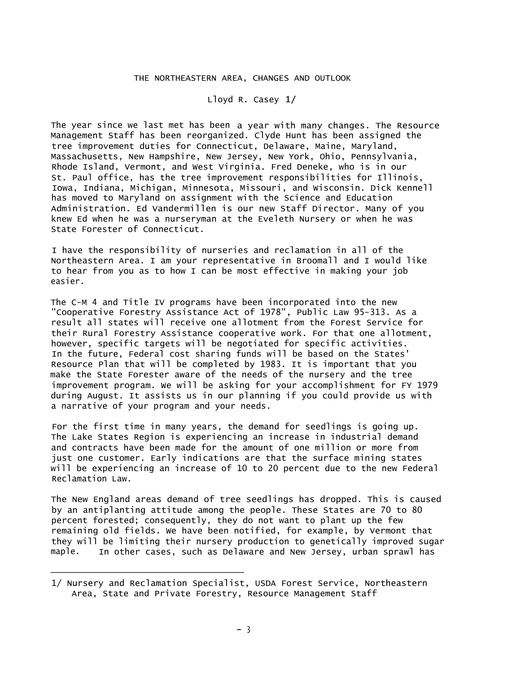## THE NORTHEASTERN AREA, CHANGES AND OUTLOOK

## Lloyd R. Casey 1/

The year since we last met has been a year with many changes. The Resource Management Staff has been reorganized. Clyde Hunt has been assigned the tree improvement duties for Connecticut, Delaware, Maine, Maryland, Massachusetts, New Hampshire, New Jersey, New York, Ohio, Pennsylvania, Rhode Island, Vermont, and West Virginia. Fred Deneke, who is in our St. Paul office, has the tree improvement responsibilities for Illinois, Iowa, Indiana, Michigan, Minnesota, Missouri, and Wisconsin. Dick Kennell has moved to Maryland on assignment with the Science and Education Administration. Ed Vandermillen is our new Staff Director. Many of you knew Ed when he was a nurseryman at the Eveleth Nursery or when he was State Forester of Connecticut.

I have the responsibility of nurseries and reclamation in all of the Northeastern Area. I am your representative in Broomall and I would like to hear from you as to how I can be most effective in making your job easier.

The C-M 4 and Title IV programs have been incorporated into the new "Cooperative Forestry Assistance Act of 1978", Public Law 95-313. As a result all states will receive one allotment from the Forest Service for their Rural Forestry Assistance cooperative work. For that one allotment, however, specific targets will be negotiated for specific activities. In the future, Federal cost sharing funds will be based on the States' Resource Plan that will be completed by 1983. It is important that you make the State Forester aware of the needs of the nursery and the tree improvement program. We will be asking for your accomplishment for FY 1979 during August. It assists us in our planning if you could provide us with a narrative of your program and your needs.

For the first time in many years, the demand for seedlings is going up. The Lake States Region is experiencing an increase in industrial demand and contracts have been made for the amount of one million or more from just one customer. Early indications are that the surface mining states will be experiencing an increase of 10 to 20 percent due to the new Federal Reclamation Law.

The New England areas demand of tree seedlings has dropped. This is caused by an antiplanting attitude among the people. These States are 70 to 80 percent forested; consequently, they do not want to plant up the few remaining old fields. We have been notified, for example, by Vermont that they will be limiting their nursery production to genetically improved sugar maple. In other cases, such as Delaware and New Jersey, urban sprawl has

<sup>1/</sup> Nursery and Reclamation Specialist, USDA Forest Service, Northeastern Area, State and Private Forestry, Resource Management Staff